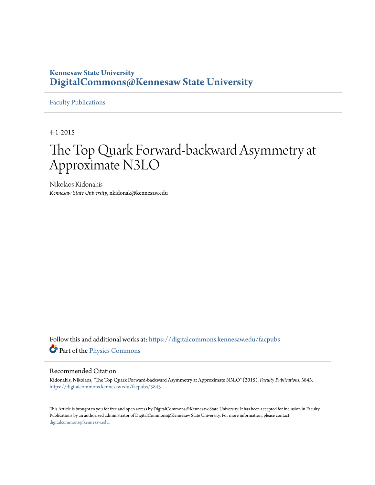### **Kennesaw State University [DigitalCommons@Kennesaw State University](https://digitalcommons.kennesaw.edu?utm_source=digitalcommons.kennesaw.edu%2Ffacpubs%2F3843&utm_medium=PDF&utm_campaign=PDFCoverPages)**

[Faculty Publications](https://digitalcommons.kennesaw.edu/facpubs?utm_source=digitalcommons.kennesaw.edu%2Ffacpubs%2F3843&utm_medium=PDF&utm_campaign=PDFCoverPages)

4-1-2015

# The Top Quark Forward-backward Asymmetry at Approximate N3LO

Nikolaos Kidonakis *Kennesaw State University*, nkidonak@kennesaw.edu

Follow this and additional works at: [https://digitalcommons.kennesaw.edu/facpubs](https://digitalcommons.kennesaw.edu/facpubs?utm_source=digitalcommons.kennesaw.edu%2Ffacpubs%2F3843&utm_medium=PDF&utm_campaign=PDFCoverPages) Part of the [Physics Commons](http://network.bepress.com/hgg/discipline/193?utm_source=digitalcommons.kennesaw.edu%2Ffacpubs%2F3843&utm_medium=PDF&utm_campaign=PDFCoverPages)

#### Recommended Citation

Kidonakis, Nikolaos, "The Top Quark Forward-backward Asymmetry at Approximate N3LO" (2015). *Faculty Publications*. 3843. [https://digitalcommons.kennesaw.edu/facpubs/3843](https://digitalcommons.kennesaw.edu/facpubs/3843?utm_source=digitalcommons.kennesaw.edu%2Ffacpubs%2F3843&utm_medium=PDF&utm_campaign=PDFCoverPages)

This Article is brought to you for free and open access by DigitalCommons@Kennesaw State University. It has been accepted for inclusion in Faculty Publications by an authorized administrator of DigitalCommons@Kennesaw State University. For more information, please contact [digitalcommons@kennesaw.edu.](mailto:digitalcommons@kennesaw.edu)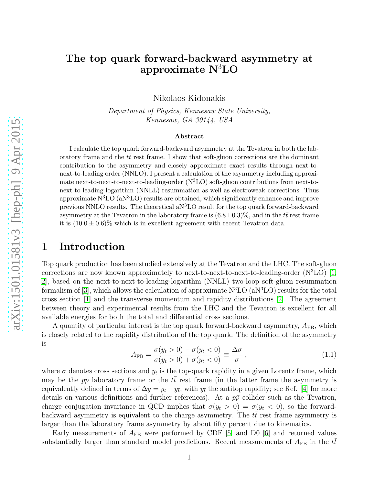# The top quark forward-backward asymmetry at approximate N<sup>3</sup>LO Nikolaos Kidonakis

Department of Physics, Kennesaw State University, Kennesaw, GA 30144, USA

#### Abstract

I calculate the top quark forward-backward asymmetry at the Tevatron in both the laboratory frame and the  $tt$  rest frame. I show that soft-gluon corrections are the dominant contribution to the asymmetry and closely approximate exact results through next-tonext-to-leading order (NNLO). I present a calculation of the asymmetry including approximate next-to-next-to-next-to-leading-order  $(N<sup>3</sup>LO)$  soft-gluon contributions from next-tonext-to-leading-logarithm (NNLL) resummation as well as electroweak corrections. Thus approximate  $N^3LO$  (a $N^3LO$ ) results are obtained, which significantly enhance and improve previous NNLO results. The theoretical  $aN<sup>3</sup>LO$  result for the top quark forward-backward asymmetry at the Tevatron in the laboratory frame is  $(6.8\pm0.3)\%$ , and in the  $t\bar{t}$  rest frame it is  $(10.0 \pm 0.6)$ % which is in excellent agreement with recent Tevatron data.

# 1 Introduction

Top quark production has been studied extensively at the Tevatron and the LHC. The soft-gluon corrections are now known approximately to next-to-next-to-next-to-leading-order  $(N<sup>3</sup>LO)$  [\[1,](#page-8-0) [2\]](#page-8-1), based on the next-to-next-to-leading-logarithm (NNLL) two-loop soft-gluon resummation formalism of [\[3\]](#page-8-2), which allows the calculation of approximate  $N<sup>3</sup>LO$  (a $N<sup>3</sup>LO$ ) results for the total cross section [\[1\]](#page-8-0) and the transverse momentum and rapidity distributions [\[2\]](#page-8-1). The agreement between theory and experimental results from the LHC and the Tevatron is excellent for all available energies for both the total and differential cross sections.

A quantity of particular interest is the top quark forward-backward asymmetry,  $A_{FB}$ , which is closely related to the rapidity distribution of the top quark. The definition of the asymmetry is

<span id="page-1-0"></span>
$$
A_{\rm FB} = \frac{\sigma(y_t > 0) - \sigma(y_t < 0)}{\sigma(y_t > 0) + \sigma(y_t < 0)} \equiv \frac{\Delta \sigma}{\sigma},
$$
\n(1.1)

where  $\sigma$  denotes cross sections and  $y_t$  is the top-quark rapidity in a given Lorentz frame, which may be the  $p\bar{p}$  laboratory frame or the  $t\bar{t}$  rest frame (in the latter frame the asymmetry is equivalently defined in terms of  $\Delta y = y_t - y_{\bar{t}}$ , with  $y_{\bar{t}}$  the antitop rapidity; see Ref. [\[4\]](#page-9-0) for more details on various definitions and further references). At a  $p\bar{p}$  collider such as the Tevatron, charge conjugation invariance in QCD implies that  $\sigma(y_t>0) = \sigma(y_t<0)$ , so the forwardbackward asymmetry is equivalent to the charge asymmetry. The  $tt$  rest frame asymmetry is larger than the laboratory frame asymmetry by about fifty percent due to kinematics.

Early measurements of  $A_{FB}$  were performed by CDF [\[5\]](#page-9-1) and D0 [\[6\]](#page-9-2) and returned values substantially larger than standard model predictions. Recent measurements of  $A_{FB}$  in the  $t\bar{t}$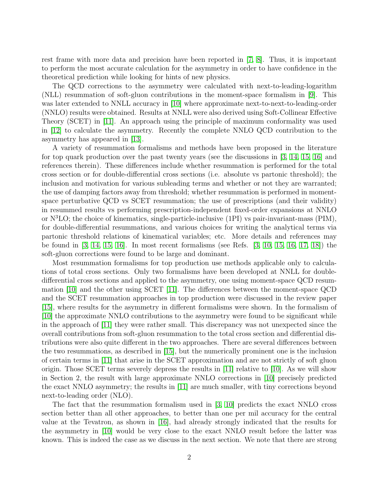rest frame with more data and precision have been reported in [\[7,](#page-9-3) [8\]](#page-9-4). Thus, it is important to perform the most accurate calculation for the asymmetry in order to have confidence in the theoretical prediction while looking for hints of new physics.

The QCD corrections to the asymmetry were calculated with next-to-leading-logarithm (NLL) resummation of soft-gluon contributions in the moment-space formalism in [\[9\]](#page-9-5). This was later extended to NNLL accuracy in [\[10\]](#page-9-6) where approximate next-to-next-to-leading-order (NNLO) results were obtained. Results at NNLL were also derived using Soft-Collinear Effective Theory (SCET) in [\[11\]](#page-9-7). An approach using the principle of maximum conformality was used in [\[12\]](#page-9-8) to calculate the asymmetry. Recently the complete NNLO QCD contribution to the asymmetry has appeared in [\[13\]](#page-9-9).

A variety of resummation formalisms and methods have been proposed in the literature for top quark production over the past twenty years (see the discussions in [\[3,](#page-8-2) [14,](#page-9-10) [15,](#page-9-11) [16\]](#page-9-12) and references therein). These differences include whether resummation is performed for the total cross section or for double-differential cross sections (i.e. absolute vs partonic threshold); the inclusion and motivation for various subleading terms and whether or not they are warranted; the use of damping factors away from threshold; whether resummation is performed in momentspace perturbative QCD vs SCET resummation; the use of prescriptions (and their validity) in resummed results vs performing prescription-independent fixed-order expansions at NNLO or  $N<sup>3</sup>LO$ ; the choice of kinematics, single-particle-inclusive (1PI) vs pair-invariant-mass (PIM), for double-differential resummations, and various choices for writing the analytical terms via partonic threshold relations of kinematical variables; etc. More details and references may be found in [\[3,](#page-8-2) [14,](#page-9-10) [15,](#page-9-11) [16\]](#page-9-12). In most recent formalisms (see Refs. [\[3,](#page-8-2) [10,](#page-9-6) [15,](#page-9-11) [16,](#page-9-12) [17,](#page-9-13) [18\]](#page-9-14)) the soft-gluon corrections were found to be large and dominant.

Most resummation formalisms for top production use methods applicable only to calculations of total cross sections. Only two formalisms have been developed at NNLL for doubledifferential cross sections and applied to the asymmetry, one using moment-space QCD resummation [\[10\]](#page-9-6) and the other using SCET [\[11\]](#page-9-7). The differences between the moment-space QCD and the SCET resummation approaches in top production were discussed in the review paper [\[15\]](#page-9-11), where results for the asymmetry in different formalisms were shown. In the formalism of [\[10\]](#page-9-6) the approximate NNLO contributions to the asymmetry were found to be significant while in the approach of [\[11\]](#page-9-7) they were rather small. This discrepancy was not unexpected since the overall contributions from soft-gluon resummation to the total cross section and differential distributions were also quite different in the two approaches. There are several differences between the two resummations, as described in [\[15\]](#page-9-11), but the numerically prominent one is the inclusion of certain terms in [\[11\]](#page-9-7) that arise in the SCET approximation and are not strictly of soft gluon origin. Those SCET terms severely depress the results in [\[11\]](#page-9-7) relative to [\[10\]](#page-9-6). As we will show in Section 2, the result with large approximate NNLO corrections in [\[10\]](#page-9-6) precisely predicted the exact NNLO asymmetry; the results in [\[11\]](#page-9-7) are much smaller, with tiny corrections beyond next-to-leading order (NLO).

The fact that the resummation formalism used in [\[3,](#page-8-2) [10\]](#page-9-6) predicts the exact NNLO cross section better than all other approaches, to better than one per mil accuracy for the central value at the Tevatron, as shown in [\[16\]](#page-9-12), had already strongly indicated that the results for the asymmetry in [\[10\]](#page-9-6) would be very close to the exact NNLO result before the latter was known. This is indeed the case as we discuss in the next section. We note that there are strong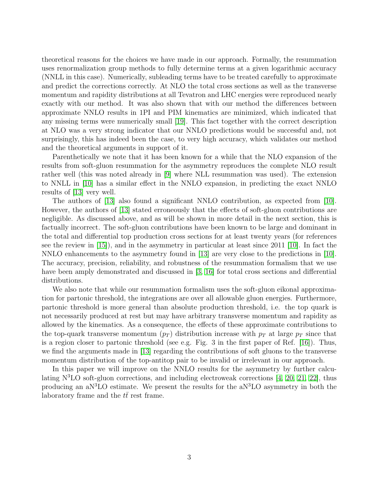theoretical reasons for the choices we have made in our approach. Formally, the resummation uses renormalization group methods to fully determine terms at a given logarithmic accuracy (NNLL in this case). Numerically, subleading terms have to be treated carefully to approximate and predict the corrections correctly. At NLO the total cross sections as well as the transverse momentum and rapidity distributions at all Tevatron and LHC energies were reproduced nearly exactly with our method. It was also shown that with our method the differences between approximate NNLO results in 1PI and PIM kinematics are minimized, which indicated that any missing terms were numerically small [\[19\]](#page-9-15). This fact together with the correct description at NLO was a very strong indicator that our NNLO predictions would be successful and, not surprisingly, this has indeed been the case, to very high accuracy, which validates our method and the theoretical arguments in support of it.

Parenthetically we note that it has been known for a while that the NLO expansion of the results from soft-gluon resummation for the asymmetry reproduces the complete NLO result rather well (this was noted already in [\[9\]](#page-9-5) where NLL resummation was used). The extension to NNLL in [\[10\]](#page-9-6) has a similar effect in the NNLO expansion, in predicting the exact NNLO results of [\[13\]](#page-9-9) very well.

The authors of [\[13\]](#page-9-9) also found a significant NNLO contribution, as expected from [\[10\]](#page-9-6). However, the authors of [\[13\]](#page-9-9) stated erroneously that the effects of soft-gluon contributions are negligible. As discussed above, and as will be shown in more detail in the next section, this is factually incorrect. The soft-gluon contributions have been known to be large and dominant in the total and differential top production cross sections for at least twenty years (for references see the review in [\[15\]](#page-9-11)), and in the asymmetry in particular at least since 2011 [\[10\]](#page-9-6). In fact the NNLO enhancements to the asymmetry found in [\[13\]](#page-9-9) are very close to the predictions in [\[10\]](#page-9-6). The accuracy, precision, reliability, and robustness of the resummation formalism that we use have been amply demonstrated and discussed in [\[3,](#page-8-2) [16\]](#page-9-12) for total cross sections and differential distributions.

We also note that while our resummation formalism uses the soft-gluon eikonal approximation for partonic threshold, the integrations are over all allowable gluon energies. Furthermore, partonic threshold is more general than absolute production threshold, i.e. the top quark is not necessarily produced at rest but may have arbitrary transverse momentum and rapidity as allowed by the kinematics. As a consequence, the effects of these approximate contributions to the top-quark transverse momentum  $(p_T)$  distribution increase with  $p_T$  at large  $p_T$  since that is a region closer to partonic threshold (see e.g. Fig. 3 in the first paper of Ref.  $[16]$ ). Thus, we find the arguments made in [\[13\]](#page-9-9) regarding the contributions of soft gluons to the transverse momentum distribution of the top-antitop pair to be invalid or irrelevant in our approach.

In this paper we will improve on the NNLO results for the asymmetry by further calculating  $N<sup>3</sup>LO$  soft-gluon corrections, and including electroweak corrections [\[4,](#page-9-0) [20,](#page-9-16) [21,](#page-9-17) [22\]](#page-9-18), thus producing an  $a<sup>3</sup>LO$  estimate. We present the results for the  $a<sup>3</sup>LO$  asymmetry in both the laboratory frame and the  $t\bar{t}$  rest frame.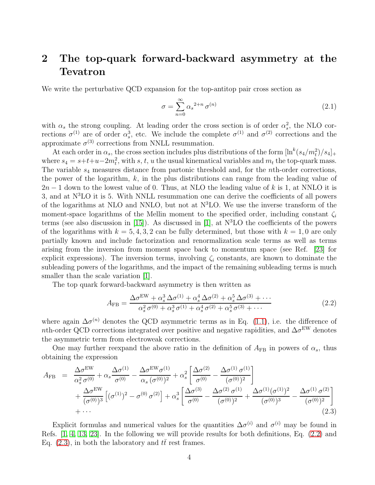# 2 The top-quark forward-backward asymmetry at the Tevatron

We write the perturbative QCD expansion for the top-antitop pair cross section as

$$
\sigma = \sum_{n=0}^{\infty} \alpha_s^{2+n} \sigma^{(n)} \tag{2.1}
$$

with  $\alpha_s$  the strong coupling. At leading order the cross section is of order  $\alpha_s^2$ , the NLO corrections  $\sigma^{(1)}$  are of order  $\alpha_s^3$ , etc. We include the complete  $\sigma^{(1)}$  and  $\sigma^{(2)}$  corrections and the approximate  $\sigma^{(3)}$  corrections from NNLL resummation.

At each order in  $\alpha_s$ , the cross section includes plus distributions of the form  $[\ln^k(s_4/m_t^2)/s_4]_+$ where  $s_4 = s + t + u - 2m_t^2$ , with s, t, u the usual kinematical variables and  $m_t$  the top-quark mass. The variable  $s_4$  measures distance from partonic threshold and, for the *n*th-order corrections, the power of the logarithm,  $k$ , in the plus distributions can range from the leading value of  $2n-1$  down to the lowest value of 0. Thus, at NLO the leading value of k is 1, at NNLO it is 3, and at  $N<sup>3</sup>LO$  it is 5. With NNLL resummation one can derive the coefficients of all powers of the logarithms at NLO and NNLO, but not at  $N<sup>3</sup>LO$ . We use the inverse transform of the moment-space logarithms of the Mellin moment to the specified order, including constant  $\zeta_i$ terms (see also discussion in [\[15\]](#page-9-11)). As discussed in [\[1\]](#page-8-0), at  $N<sup>3</sup>LO$  the coefficients of the powers of the logarithms with  $k = 5, 4, 3, 2$  can be fully determined, but those with  $k = 1, 0$  are only partially known and include factorization and renormalization scale terms as well as terms arising from the inversion from moment space back to momentum space (see Ref. [\[23\]](#page-9-19) for explicit expressions). The inversion terms, involving  $\zeta_i$  constants, are known to dominate the subleading powers of the logarithms, and the impact of the remaining subleading terms is much smaller than the scale variation [\[1\]](#page-8-0).

The top quark forward-backward asymmetry is then written as

<span id="page-4-0"></span>
$$
A_{\rm FB} = \frac{\Delta \sigma^{\rm EW} + \alpha_s^3 \Delta \sigma^{(1)} + \alpha_s^4 \Delta \sigma^{(2)} + \alpha_s^5 \Delta \sigma^{(3)} + \cdots}{\alpha_s^2 \sigma^{(0)} + \alpha_s^3 \sigma^{(1)} + \alpha_s^4 \sigma^{(2)} + \alpha_s^5 \sigma^{(3)} + \cdots}
$$
(2.2)

where again  $\Delta \sigma^{(n)}$  denotes the QCD asymmetric terms as in Eq. [\(1.1\)](#page-1-0), i.e. the difference of nth-order QCD corrections integrated over positive and negative rapidities, and  $\Delta \sigma^{\text{EW}}$  denotes the asymmetric term from electroweak corrections.

One may further reexpand the above ratio in the definition of  $A_{FB}$  in powers of  $\alpha_s$ , thus obtaining the expression

<span id="page-4-1"></span>
$$
A_{\rm FB} = \frac{\Delta \sigma^{\rm EW}}{\alpha_s^2 \sigma^{(0)}} + \alpha_s \frac{\Delta \sigma^{(1)}}{\sigma^{(0)}} - \frac{\Delta \sigma^{\rm EW} \sigma^{(1)}}{\alpha_s (\sigma^{(0)})^2} + \alpha_s^2 \left[ \frac{\Delta \sigma^{(2)}}{\sigma^{(0)}} - \frac{\Delta \sigma^{(1)} \sigma^{(1)}}{(\sigma^{(0)})^2} \right] + \frac{\Delta \sigma^{\rm EW}}{(\sigma^{(0)})^3} \left[ (\sigma^{(1)})^2 - \sigma^{(0)} \sigma^{(2)} \right] + \alpha_s^3 \left[ \frac{\Delta \sigma^{(3)}}{\sigma^{(0)}} - \frac{\Delta \sigma^{(2)} \sigma^{(1)}}{(\sigma^{(0)})^2} + \frac{\Delta \sigma^{(1)} (\sigma^{(1)})^2}{(\sigma^{(0)})^3} - \frac{\Delta \sigma^{(1)} \sigma^{(2)}}{(\sigma^{(0)})^2} \right] + \cdots
$$
\n(2.3)

Explicit formulas and numerical values for the quantities  $\Delta \sigma^{(i)}$  and  $\sigma^{(i)}$  may be found in Refs. [\[1,](#page-8-0) [4,](#page-9-0) [13,](#page-9-9) [23\]](#page-9-19). In the following we will provide results for both definitions, Eq. [\(2.2\)](#page-4-0) and Eq. [\(2.3\)](#page-4-1), in both the laboratory and  $t\bar{t}$  rest frames.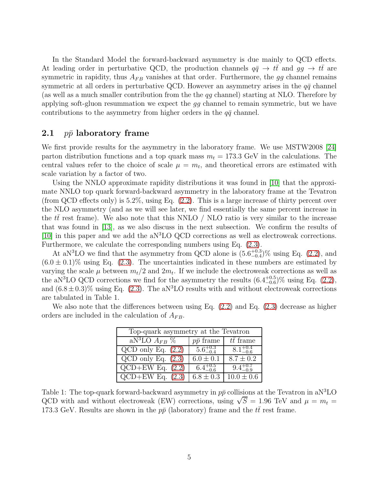In the Standard Model the forward-backward asymmetry is due mainly to QCD effects. At leading order in perturbative QCD, the production channels  $q\bar{q} \rightarrow tt$  and  $q\bar{q} \rightarrow tt$  are symmetric in rapidity, thus  $A_{FB}$  vanishes at that order. Furthermore, the gg channel remains symmetric at all orders in perturbative QCD. However an asymmetry arises in the  $q\bar{q}$  channel (as well as a much smaller contribution from the the  $q\bar{q}$  channel) starting at NLO. Therefore by applying soft-gluon resummation we expect the gg channel to remain symmetric, but we have contributions to the asymmetry from higher orders in the  $q\bar{q}$  channel.

#### 2.1 *pp* laboratory frame

We first provide results for the asymmetry in the laboratory frame. We use MSTW2008 [\[24\]](#page-9-20) parton distribution functions and a top quark mass  $m_t = 173.3$  GeV in the calculations. The central values refer to the choice of scale  $\mu = m_t$ , and theoretical errors are estimated with scale variation by a factor of two.

Using the NNLO approximate rapidity distributions it was found in [\[10\]](#page-9-6) that the approximate NNLO top quark forward-backward asymmetry in the laboratory frame at the Tevatron (from QCD effects only) is 5.2%, using Eq. [\(2.2\)](#page-4-0). This is a large increase of thirty percent over the NLO asymmetry (and as we will see later, we find essentially the same percent increase in the  $t\bar{t}$  rest frame). We also note that this NNLO / NLO ratio is very similar to the increase that was found in [\[13\]](#page-9-9), as we also discuss in the next subsection. We confirm the results of [\[10\]](#page-9-6) in this paper and we add the  $aN<sup>3</sup>LO$  QCD corrections as well as electroweak corrections. Furthermore, we calculate the corresponding numbers using Eq. [\(2.3\)](#page-4-1).

At aN<sup>3</sup>LO we find that the asymmetry from QCD alone is  $(5.6^{+0.3}_{-0.4})\%$  using Eq. [\(2.2\)](#page-4-0), and  $(6.0 \pm 0.1)\%$  using Eq. [\(2.3\)](#page-4-1). The uncertainties indicated in these numbers are estimated by varying the scale  $\mu$  between  $m_t/2$  and  $2m_t$ . If we include the electroweak corrections as well as the aN<sup>3</sup>LO QCD corrections we find for the asymmetry the results  $(6.4^{+0.5}_{-0.6})\%$  using Eq.  $(2.2)$ , and  $(6.8 \pm 0.3)\%$  using Eq. [\(2.3\)](#page-4-1). The aN<sup>3</sup>LO results with and without electroweak corrections are tabulated in Table 1.

| Top-quark asymmetry at the Tevatron |                     |                     |
|-------------------------------------|---------------------|---------------------|
| $aN^3LO$ $A_{FB}$ %                 | $p\bar{p}$ frame    | $t\bar{t}$ frame    |
| $QCD$ only Eq. $(2.2)$              | $5.6^{+0.3}_{-0.4}$ | $8.1^{+0.4}_{-0.6}$ |
| $QCD$ only Eq. $(2.3)$              | $6.0 \pm 0.1$       | $8.7 \pm 0.2$       |
| $QCD+EW$ Eq. $(2.2)$                | $6.4^{+0.5}_{-0.6}$ |                     |
| $QCD+EW$ Eq. $(2.3)$                | $6.8 \pm 0.3$       | $10.0 \pm 0.6$      |

We also note that the differences between using Eq. [\(2.2\)](#page-4-0) and Eq. [\(2.3\)](#page-4-1) decrease as higher orders are included in the calculation of  $A_{FB}$ .

Table 1: The top-quark forward-backward asymmetry in  $p\bar{p}$  collisions at the Tevatron in aN<sup>3</sup>LO QCD with and without electroweak (EW) corrections, using  $\sqrt{S} = 1.96$  TeV and  $\mu = m_t =$ 173.3 GeV. Results are shown in the  $p\bar{p}$  (laboratory) frame and the  $t\bar{t}$  rest frame.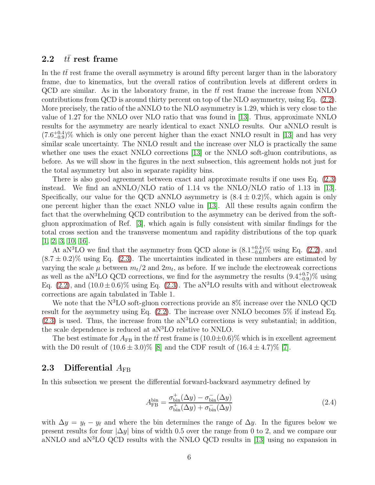#### 2.2  $t\bar{t}$  rest frame

In the  $t\bar{t}$  rest frame the overall asymmetry is around fifty percent larger than in the laboratory frame, due to kinematics, but the overall ratios of contribution levels at different orders in QCD are similar. As in the laboratory frame, in the  $t\bar{t}$  rest frame the increase from NNLO contributions from QCD is around thirty percent on top of the NLO asymmetry, using Eq. [\(2.2\)](#page-4-0). More precisely, the ratio of the aNNLO to the NLO asymmetry is 1.29, which is very close to the value of 1.27 for the NNLO over NLO ratio that was found in [\[13\]](#page-9-9). Thus, approximate NNLO results for the asymmetry are nearly identical to exact NNLO results. Our aNNLO result is  $(7.6^{+0.4}_{-0.9})\%$  which is only one percent higher than the exact NNLO result in [\[13\]](#page-9-9) and has very similar scale uncertainty. The NNLO result and the increase over NLO is practically the same whether one uses the exact NNLO corrections [\[13\]](#page-9-9) or the NNLO soft-gluon contributions, as before. As we will show in the figures in the next subsection, this agreement holds not just for the total asymmetry but also in separate rapidity bins.

There is also good agreement between exact and approximate results if one uses Eq. [\(2.3\)](#page-4-1) instead. We find an aNNLO/NLO ratio of 1.14 vs the NNLO/NLO ratio of 1.13 in [\[13\]](#page-9-9). Specifically, our value for the QCD aNNLO asymmetry is  $(8.4 \pm 0.2)\%$ , which again is only one percent higher than the exact NNLO value in [\[13\]](#page-9-9). All these results again confirm the fact that the overwhelming QCD contribution to the asymmetry can be derived from the softgluon approximation of Ref. [\[3\]](#page-8-2), which again is fully consistent with similar findings for the total cross section and the transverse momentum and rapidity distributions of the top quark [\[1,](#page-8-0) [2,](#page-8-1) [3,](#page-8-2) [10,](#page-9-6) [16\]](#page-9-12).

At aN<sup>3</sup>LO we find that the asymmetry from QCD alone is  $(8.1_{-0.6}^{+0.4})\%$  using Eq. [\(2.2\)](#page-4-0), and  $(8.7 \pm 0.2)\%$  using Eq. [\(2.3\)](#page-4-1). The uncertainties indicated in these numbers are estimated by varying the scale  $\mu$  between  $m_t/2$  and  $2m_t$ , as before. If we include the electroweak corrections as well as the aN<sup>3</sup>LO QCD corrections, we find for the asymmetry the results  $(9.4^{+0.7}_{-0.9})\%$  using Eq. [\(2.2\)](#page-4-0), and  $(10.0 \pm 0.6)\%$  using Eq. [\(2.3\)](#page-4-1). The aN<sup>3</sup>LO results with and without electroweak corrections are again tabulated in Table 1.

We note that the N<sup>3</sup>LO soft-gluon corrections provide an 8% increase over the NNLO QCD result for the asymmetry using Eq. [\(2.2\)](#page-4-0). The increase over NNLO becomes 5% if instead Eq.  $(2.3)$  is used. Thus, the increase from the aN<sup>3</sup>LO corrections is very substantial; in addition, the scale dependence is reduced at aN<sup>3</sup>LO relative to NNLO.

The best estimate for  $A_{FB}$  in the  $t\bar{t}$  rest frame is  $(10.0\pm0.6)\%$  which is in excellent agreement with the D0 result of  $(10.6 \pm 3.0)$ % [\[8\]](#page-9-4) and the CDF result of  $(16.4 \pm 4.7)$ % [\[7\]](#page-9-3).

#### 2.3 Differential  $A_{\text{FB}}$

In this subsection we present the differential forward-backward asymmetry defined by

$$
A_{\rm FB}^{\rm bin} = \frac{\sigma_{\rm bin}^+(\Delta y) - \sigma_{\rm bin}^-(\Delta y)}{\sigma_{\rm bin}^+(\Delta y) + \sigma_{\rm bin}^-(\Delta y)}\tag{2.4}
$$

with  $\Delta y = y_t - y_{\bar{t}}$  and where the bin determines the range of  $\Delta y$ . In the figures below we present results for four  $|\Delta y|$  bins of width 0.5 over the range from 0 to 2, and we compare our aNNLO and aN<sup>3</sup>LO QCD results with the NNLO QCD results in [\[13\]](#page-9-9) using no expansion in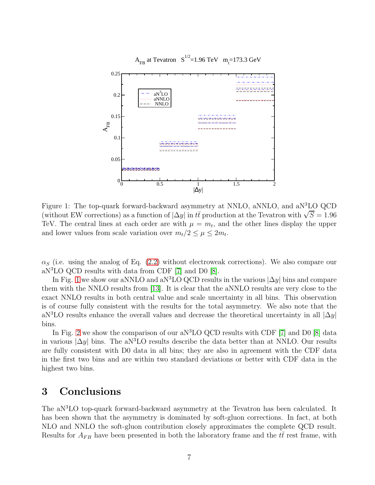

<span id="page-7-0"></span>Figure 1: The top-quark forward-backward asymmetry at NNLO, aNNLO, and aN<sup>3</sup>LO QCD (without EW corrections) as a function of  $|\Delta y|$  in  $t\bar{t}$  production at the Tevatron with  $\sqrt{S} = 1.96$ TeV. The central lines at each order are with  $\mu = m_t$ , and the other lines display the upper and lower values from scale variation over  $m_t/2 \leq \mu \leq 2m_t$ .

 $\alpha_S$  (i.e. using the analog of Eq. [\(2.2\)](#page-4-0) without electroweak corrections). We also compare our aN<sup>3</sup>LO QCD results with data from CDF [\[7\]](#page-9-3) and D0 [\[8\]](#page-9-4).

In Fig. [1](#page-7-0) we show our aNNLO and aN<sup>3</sup>LO QCD results in the various  $|\Delta y|$  bins and compare them with the NNLO results from [\[13\]](#page-9-9). It is clear that the aNNLO results are very close to the exact NNLO results in both central value and scale uncertainty in all bins. This observation is of course fully consistent with the results for the total asymmetry. We also note that the aN<sup>3</sup>LO results enhance the overall values and decrease the theoretical uncertainty in all  $|\Delta y|$ bins.

In Fig. [2](#page-8-3) we show the comparison of our a $N<sup>3</sup>LO$  QCD results with CDF [\[7\]](#page-9-3) and D0 [\[8\]](#page-9-4) data in various  $|\Delta y|$  bins. The aN<sup>3</sup>LO results describe the data better than at NNLO. Our results are fully consistent with D0 data in all bins; they are also in agreement with the CDF data in the first two bins and are within two standard deviations or better with CDF data in the highest two bins.

# 3 Conclusions

The aN<sup>3</sup>LO top-quark forward-backward asymmetry at the Tevatron has been calculated. It has been shown that the asymmetry is dominated by soft-gluon corrections. In fact, at both NLO and NNLO the soft-gluon contribution closely approximates the complete QCD result. Results for  $A_{FB}$  have been presented in both the laboratory frame and the  $t\bar{t}$  rest frame, with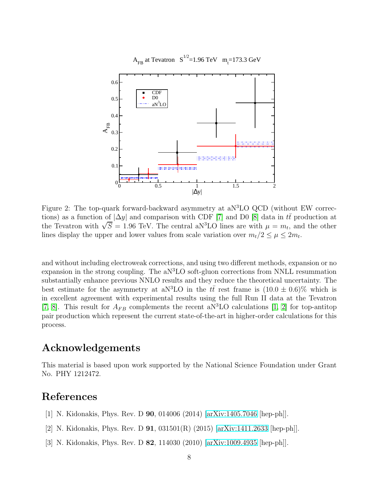

<span id="page-8-3"></span>Figure 2: The top-quark forward-backward asymmetry at aN<sup>3</sup>LO QCD (without EW corrections) as a function of  $|\Delta y|$  and comparison with CDF [\[7\]](#page-9-3) and D0 [\[8\]](#page-9-4) data in  $t\bar{t}$  production at the Tevatron with  $\sqrt{S} = 1.96$  TeV. The central aN<sup>3</sup>LO lines are with  $\mu = m_t$ , and the other lines display the upper and lower values from scale variation over  $m_t/2 \leq \mu \leq 2m_t$ .

and without including electroweak corrections, and using two different methods, expansion or no expansion in the strong coupling. The  $aN<sup>3</sup>LO$  soft-gluon corrections from NNLL resummation substantially enhance previous NNLO results and they reduce the theoretical uncertainty. The best estimate for the asymmetry at aN<sup>3</sup>LO in the  $t\bar{t}$  rest frame is  $(10.0 \pm 0.6)\%$  which is in excellent agreement with experimental results using the full Run II data at the Tevatron [\[7,](#page-9-3) [8\]](#page-9-4). This result for  $A_{FB}$  complements the recent aN<sup>3</sup>LO calculations [\[1,](#page-8-0) [2\]](#page-8-1) for top-antitop pair production which represent the current state-of-the-art in higher-order calculations for this process.

## Acknowledgements

This material is based upon work supported by the National Science Foundation under Grant No. PHY 1212472.

### <span id="page-8-0"></span>References

- <span id="page-8-1"></span>[1] N. Kidonakis, Phys. Rev. D 90, 014006 (2014) [\[arXiv:1405.7046](http://arxiv.org/abs/1405.7046) [hep-ph]].
- <span id="page-8-2"></span>[2] N. Kidonakis, Phys. Rev. D  $91$ ,  $031501(R)$  (2015) [\[arXiv:1411.2633](http://arxiv.org/abs/1411.2633) [hep-ph]].
- [3] N. Kidonakis, Phys. Rev. D 82, 114030 (2010) [\[arXiv:1009.4935](http://arxiv.org/abs/1009.4935) [hep-ph]].